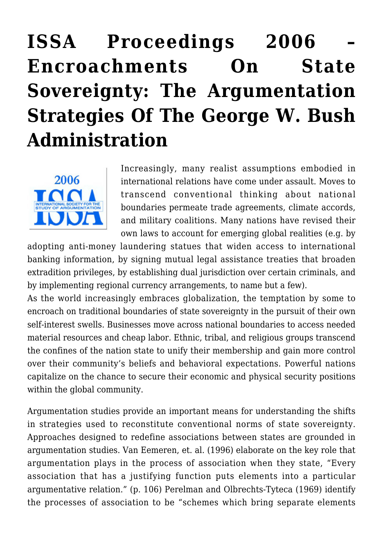# **[ISSA Proceedings 2006 –](https://rozenbergquarterly.com/issa-proceedings-2006-encroachments-on-state-sovereignty-the-argumentation-strategies-of-the-george-w-bush-administration/) [Encroachments On State](https://rozenbergquarterly.com/issa-proceedings-2006-encroachments-on-state-sovereignty-the-argumentation-strategies-of-the-george-w-bush-administration/) [Sovereignty: The Argumentation](https://rozenbergquarterly.com/issa-proceedings-2006-encroachments-on-state-sovereignty-the-argumentation-strategies-of-the-george-w-bush-administration/) [Strategies Of The George W. Bush](https://rozenbergquarterly.com/issa-proceedings-2006-encroachments-on-state-sovereignty-the-argumentation-strategies-of-the-george-w-bush-administration/) [Administration](https://rozenbergquarterly.com/issa-proceedings-2006-encroachments-on-state-sovereignty-the-argumentation-strategies-of-the-george-w-bush-administration/)**



Increasingly, many realist assumptions embodied in international relations have come under assault. Moves to transcend conventional thinking about national boundaries permeate trade agreements, climate accords, and military coalitions. Many nations have revised their own laws to account for emerging global realities (e.g. by

adopting anti-money laundering statues that widen access to international banking information, by signing mutual legal assistance treaties that broaden extradition privileges, by establishing dual jurisdiction over certain criminals, and by implementing regional currency arrangements, to name but a few).

As the world increasingly embraces globalization, the temptation by some to encroach on traditional boundaries of state sovereignty in the pursuit of their own self-interest swells. Businesses move across national boundaries to access needed material resources and cheap labor. Ethnic, tribal, and religious groups transcend the confines of the nation state to unify their membership and gain more control over their community's beliefs and behavioral expectations. Powerful nations capitalize on the chance to secure their economic and physical security positions within the global community.

Argumentation studies provide an important means for understanding the shifts in strategies used to reconstitute conventional norms of state sovereignty. Approaches designed to redefine associations between states are grounded in argumentation studies. Van Eemeren, et. al. (1996) elaborate on the key role that argumentation plays in the process of association when they state, "Every association that has a justifying function puts elements into a particular argumentative relation." (p. 106) Perelman and Olbrechts-Tyteca (1969) identify the processes of association to be "schemes which bring separate elements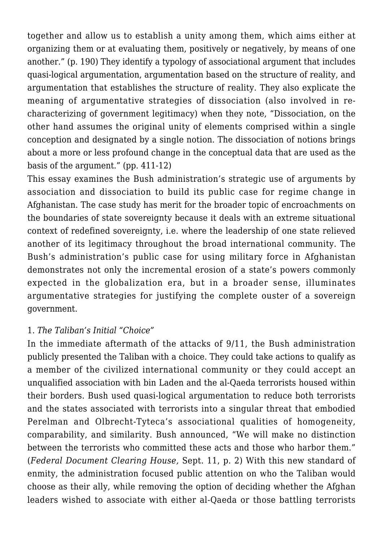together and allow us to establish a unity among them, which aims either at organizing them or at evaluating them, positively or negatively, by means of one another." (p. 190) They identify a typology of associational argument that includes quasi-logical argumentation, argumentation based on the structure of reality, and argumentation that establishes the structure of reality. They also explicate the meaning of argumentative strategies of dissociation (also involved in recharacterizing of government legitimacy) when they note, "Dissociation, on the other hand assumes the original unity of elements comprised within a single conception and designated by a single notion. The dissociation of notions brings about a more or less profound change in the conceptual data that are used as the basis of the argument." (pp. 411-12)

This essay examines the Bush administration's strategic use of arguments by association and dissociation to build its public case for regime change in Afghanistan. The case study has merit for the broader topic of encroachments on the boundaries of state sovereignty because it deals with an extreme situational context of redefined sovereignty, i.e. where the leadership of one state relieved another of its legitimacy throughout the broad international community. The Bush's administration's public case for using military force in Afghanistan demonstrates not only the incremental erosion of a state's powers commonly expected in the globalization era, but in a broader sense, illuminates argumentative strategies for justifying the complete ouster of a sovereign government.

#### 1. *The Taliban's Initial "Choice"*

In the immediate aftermath of the attacks of 9/11, the Bush administration publicly presented the Taliban with a choice. They could take actions to qualify as a member of the civilized international community or they could accept an unqualified association with bin Laden and the al-Qaeda terrorists housed within their borders. Bush used quasi-logical argumentation to reduce both terrorists and the states associated with terrorists into a singular threat that embodied Perelman and Olbrecht-Tyteca's associational qualities of homogeneity, comparability, and similarity. Bush announced, "We will make no distinction between the terrorists who committed these acts and those who harbor them." (*Federal Document Clearing House,* Sept. 11, p. 2) With this new standard of enmity, the administration focused public attention on who the Taliban would choose as their ally, while removing the option of deciding whether the Afghan leaders wished to associate with either al-Qaeda or those battling terrorists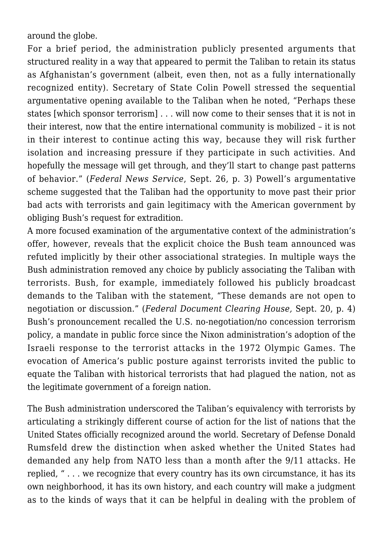around the globe.

For a brief period, the administration publicly presented arguments that structured reality in a way that appeared to permit the Taliban to retain its status as Afghanistan's government (albeit, even then, not as a fully internationally recognized entity). Secretary of State Colin Powell stressed the sequential argumentative opening available to the Taliban when he noted, "Perhaps these states [which sponsor terrorism] . . . will now come to their senses that it is not in their interest, now that the entire international community is mobilized – it is not in their interest to continue acting this way, because they will risk further isolation and increasing pressure if they participate in such activities. And hopefully the message will get through, and they'll start to change past patterns of behavior." (*Federal News Service*, Sept. 26, p. 3) Powell's argumentative scheme suggested that the Taliban had the opportunity to move past their prior bad acts with terrorists and gain legitimacy with the American government by obliging Bush's request for extradition.

A more focused examination of the argumentative context of the administration's offer, however, reveals that the explicit choice the Bush team announced was refuted implicitly by their other associational strategies. In multiple ways the Bush administration removed any choice by publicly associating the Taliban with terrorists. Bush, for example, immediately followed his publicly broadcast demands to the Taliban with the statement, "These demands are not open to negotiation or discussion." (*Federal Document Clearing House,* Sept. 20, p. 4) Bush's pronouncement recalled the U.S. no-negotiation/no concession terrorism policy, a mandate in public force since the Nixon administration's adoption of the Israeli response to the terrorist attacks in the 1972 Olympic Games. The evocation of America's public posture against terrorists invited the public to equate the Taliban with historical terrorists that had plagued the nation, not as the legitimate government of a foreign nation.

The Bush administration underscored the Taliban's equivalency with terrorists by articulating a strikingly different course of action for the list of nations that the United States officially recognized around the world. Secretary of Defense Donald Rumsfeld drew the distinction when asked whether the United States had demanded any help from NATO less than a month after the 9/11 attacks. He replied, " . . . we recognize that every country has its own circumstance, it has its own neighborhood, it has its own history, and each country will make a judgment as to the kinds of ways that it can be helpful in dealing with the problem of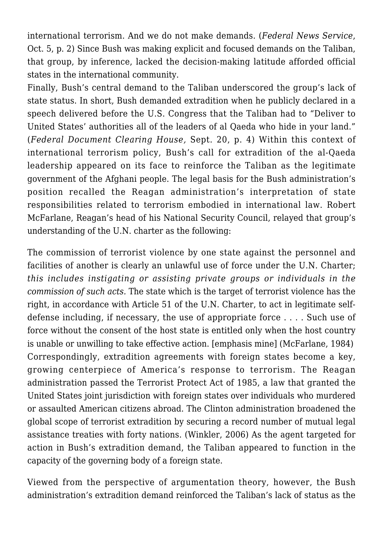international terrorism. And we do not make demands. (*Federal News Service*, Oct. 5, p. 2) Since Bush was making explicit and focused demands on the Taliban, that group, by inference, lacked the decision-making latitude afforded official states in the international community.

Finally, Bush's central demand to the Taliban underscored the group's lack of state status. In short, Bush demanded extradition when he publicly declared in a speech delivered before the U.S. Congress that the Taliban had to "Deliver to United States' authorities all of the leaders of al Qaeda who hide in your land." (*Federal Document Clearing House,* Sept. 20, p. 4) Within this context of international terrorism policy, Bush's call for extradition of the al-Qaeda leadership appeared on its face to reinforce the Taliban as the legitimate government of the Afghani people. The legal basis for the Bush administration's position recalled the Reagan administration's interpretation of state responsibilities related to terrorism embodied in international law. Robert McFarlane, Reagan's head of his National Security Council, relayed that group's understanding of the U.N. charter as the following:

The commission of terrorist violence by one state against the personnel and facilities of another is clearly an unlawful use of force under the U.N. Charter; *this includes instigating or assisting private groups or individuals in the commission of such acts.* The state which is the target of terrorist violence has the right, in accordance with Article 51 of the U.N. Charter, to act in legitimate selfdefense including, if necessary, the use of appropriate force . . . . Such use of force without the consent of the host state is entitled only when the host country is unable or unwilling to take effective action. [emphasis mine] (McFarlane, 1984) Correspondingly, extradition agreements with foreign states become a key, growing centerpiece of America's response to terrorism. The Reagan administration passed the Terrorist Protect Act of 1985, a law that granted the United States joint jurisdiction with foreign states over individuals who murdered or assaulted American citizens abroad. The Clinton administration broadened the global scope of terrorist extradition by securing a record number of mutual legal assistance treaties with forty nations. (Winkler, 2006) As the agent targeted for action in Bush's extradition demand, the Taliban appeared to function in the capacity of the governing body of a foreign state.

Viewed from the perspective of argumentation theory, however, the Bush administration's extradition demand reinforced the Taliban's lack of status as the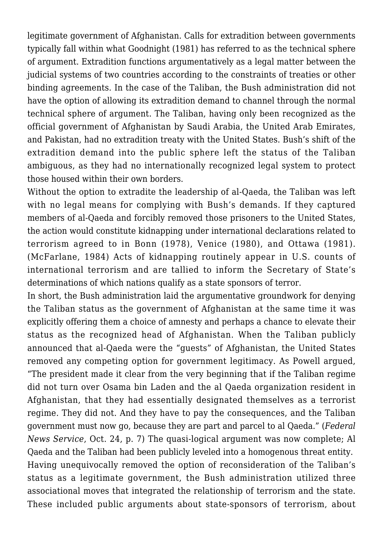legitimate government of Afghanistan. Calls for extradition between governments typically fall within what Goodnight (1981) has referred to as the technical sphere of argument. Extradition functions argumentatively as a legal matter between the judicial systems of two countries according to the constraints of treaties or other binding agreements. In the case of the Taliban, the Bush administration did not have the option of allowing its extradition demand to channel through the normal technical sphere of argument. The Taliban, having only been recognized as the official government of Afghanistan by Saudi Arabia, the United Arab Emirates, and Pakistan, had no extradition treaty with the United States. Bush's shift of the extradition demand into the public sphere left the status of the Taliban ambiguous, as they had no internationally recognized legal system to protect those housed within their own borders.

Without the option to extradite the leadership of al-Qaeda, the Taliban was left with no legal means for complying with Bush's demands. If they captured members of al-Qaeda and forcibly removed those prisoners to the United States, the action would constitute kidnapping under international declarations related to terrorism agreed to in Bonn (1978), Venice (1980), and Ottawa (1981). (McFarlane, 1984) Acts of kidnapping routinely appear in U.S. counts of international terrorism and are tallied to inform the Secretary of State's determinations of which nations qualify as a state sponsors of terror.

In short, the Bush administration laid the argumentative groundwork for denying the Taliban status as the government of Afghanistan at the same time it was explicitly offering them a choice of amnesty and perhaps a chance to elevate their status as the recognized head of Afghanistan. When the Taliban publicly announced that al-Qaeda were the "guests" of Afghanistan, the United States removed any competing option for government legitimacy. As Powell argued, "The president made it clear from the very beginning that if the Taliban regime did not turn over Osama bin Laden and the al Qaeda organization resident in Afghanistan, that they had essentially designated themselves as a terrorist regime. They did not. And they have to pay the consequences, and the Taliban government must now go, because they are part and parcel to al Qaeda." (*Federal News Service*, Oct. 24, p. 7) The quasi-logical argument was now complete; Al Qaeda and the Taliban had been publicly leveled into a homogenous threat entity. Having unequivocally removed the option of reconsideration of the Taliban's status as a legitimate government, the Bush administration utilized three associational moves that integrated the relationship of terrorism and the state. These included public arguments about state-sponsors of terrorism, about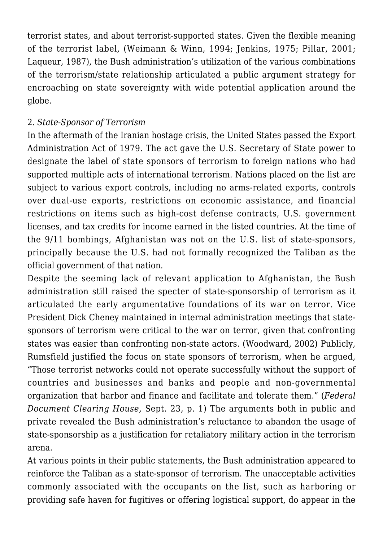terrorist states, and about terrorist-supported states. Given the flexible meaning of the terrorist label, (Weimann & Winn, 1994; Jenkins, 1975; Pillar, 2001; Laqueur, 1987), the Bush administration's utilization of the various combinations of the terrorism/state relationship articulated a public argument strategy for encroaching on state sovereignty with wide potential application around the globe.

## 2. *State-Sponsor of Terrorism*

In the aftermath of the Iranian hostage crisis, the United States passed the Export Administration Act of 1979. The act gave the U.S. Secretary of State power to designate the label of state sponsors of terrorism to foreign nations who had supported multiple acts of international terrorism. Nations placed on the list are subject to various export controls, including no arms-related exports, controls over dual-use exports, restrictions on economic assistance, and financial restrictions on items such as high-cost defense contracts, U.S. government licenses, and tax credits for income earned in the listed countries. At the time of the 9/11 bombings, Afghanistan was not on the U.S. list of state-sponsors, principally because the U.S. had not formally recognized the Taliban as the official government of that nation.

Despite the seeming lack of relevant application to Afghanistan, the Bush administration still raised the specter of state-sponsorship of terrorism as it articulated the early argumentative foundations of its war on terror. Vice President Dick Cheney maintained in internal administration meetings that statesponsors of terrorism were critical to the war on terror, given that confronting states was easier than confronting non-state actors. (Woodward, 2002) Publicly, Rumsfield justified the focus on state sponsors of terrorism, when he argued, "Those terrorist networks could not operate successfully without the support of countries and businesses and banks and people and non-governmental organization that harbor and finance and facilitate and tolerate them." (*Federal Document Clearing House,* Sept. 23, p. 1) The arguments both in public and private revealed the Bush administration's reluctance to abandon the usage of state-sponsorship as a justification for retaliatory military action in the terrorism arena.

At various points in their public statements, the Bush administration appeared to reinforce the Taliban as a state-sponsor of terrorism. The unacceptable activities commonly associated with the occupants on the list, such as harboring or providing safe haven for fugitives or offering logistical support, do appear in the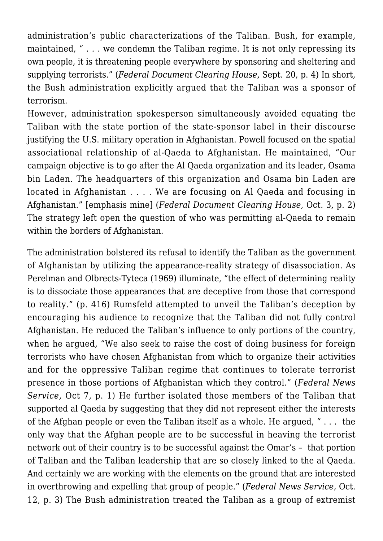administration's public characterizations of the Taliban. Bush, for example, maintained, " . . . we condemn the Taliban regime. It is not only repressing its own people, it is threatening people everywhere by sponsoring and sheltering and supplying terrorists." (*Federal Document Clearing House*, Sept. 20, p. 4) In short, the Bush administration explicitly argued that the Taliban was a sponsor of terrorism.

However, administration spokesperson simultaneously avoided equating the Taliban with the state portion of the state-sponsor label in their discourse justifying the U.S. military operation in Afghanistan. Powell focused on the spatial associational relationship of al-Qaeda to Afghanistan. He maintained, "Our campaign objective is to go after the Al Qaeda organization and its leader, Osama bin Laden. The headquarters of this organization and Osama bin Laden are located in Afghanistan . . . . We are focusing on Al Qaeda and focusing in Afghanistan." [emphasis mine] (*Federal Document Clearing House*, Oct. 3, p. 2) The strategy left open the question of who was permitting al-Qaeda to remain within the borders of Afghanistan.

The administration bolstered its refusal to identify the Taliban as the government of Afghanistan by utilizing the appearance-reality strategy of disassociation. As Perelman and Olbrects-Tyteca (1969) illuminate, "the effect of determining reality is to dissociate those appearances that are deceptive from those that correspond to reality." (p. 416) Rumsfeld attempted to unveil the Taliban's deception by encouraging his audience to recognize that the Taliban did not fully control Afghanistan. He reduced the Taliban's influence to only portions of the country, when he argued, "We also seek to raise the cost of doing business for foreign terrorists who have chosen Afghanistan from which to organize their activities and for the oppressive Taliban regime that continues to tolerate terrorist presence in those portions of Afghanistan which they control." (*Federal News Service,* Oct 7, p. 1) He further isolated those members of the Taliban that supported al Qaeda by suggesting that they did not represent either the interests of the Afghan people or even the Taliban itself as a whole. He argued, " . . . the only way that the Afghan people are to be successful in heaving the terrorist network out of their country is to be successful against the Omar's – that portion of Taliban and the Taliban leadership that are so closely linked to the al Qaeda. And certainly we are working with the elements on the ground that are interested in overthrowing and expelling that group of people." (*Federal News Service,* Oct. 12, p. 3) The Bush administration treated the Taliban as a group of extremist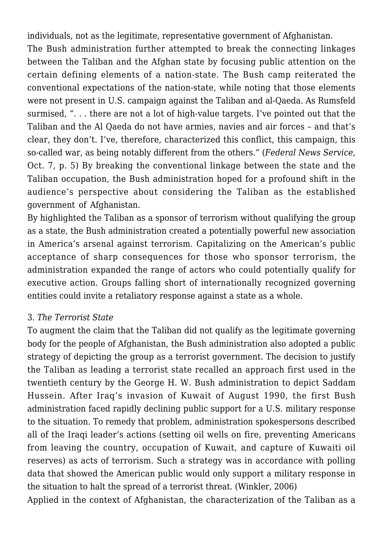individuals, not as the legitimate, representative government of Afghanistan.

The Bush administration further attempted to break the connecting linkages between the Taliban and the Afghan state by focusing public attention on the certain defining elements of a nation-state. The Bush camp reiterated the conventional expectations of the nation-state, while noting that those elements were not present in U.S. campaign against the Taliban and al-Qaeda. As Rumsfeld surmised, ". . . there are not a lot of high-value targets. I've pointed out that the Taliban and the Al Qaeda do not have armies, navies and air forces – and that's clear, they don't. I've, therefore, characterized this conflict, this campaign, this so-called war, as being notably different from the others." (*Federal News Service*, Oct. 7, p. 5) By breaking the conventional linkage between the state and the Taliban occupation, the Bush administration hoped for a profound shift in the audience's perspective about considering the Taliban as the established government of Afghanistan.

By highlighted the Taliban as a sponsor of terrorism without qualifying the group as a state, the Bush administration created a potentially powerful new association in America's arsenal against terrorism. Capitalizing on the American's public acceptance of sharp consequences for those who sponsor terrorism, the administration expanded the range of actors who could potentially qualify for executive action. Groups falling short of internationally recognized governing entities could invite a retaliatory response against a state as a whole.

## 3. *The Terrorist State*

To augment the claim that the Taliban did not qualify as the legitimate governing body for the people of Afghanistan, the Bush administration also adopted a public strategy of depicting the group as a terrorist government. The decision to justify the Taliban as leading a terrorist state recalled an approach first used in the twentieth century by the George H. W. Bush administration to depict Saddam Hussein. After Iraq's invasion of Kuwait of August 1990, the first Bush administration faced rapidly declining public support for a U.S. military response to the situation. To remedy that problem, administration spokespersons described all of the Iraqi leader's actions (setting oil wells on fire, preventing Americans from leaving the country, occupation of Kuwait, and capture of Kuwaiti oil reserves) as acts of terrorism. Such a strategy was in accordance with polling data that showed the American public would only support a military response in the situation to halt the spread of a terrorist threat. (Winkler, 2006)

Applied in the context of Afghanistan, the characterization of the Taliban as a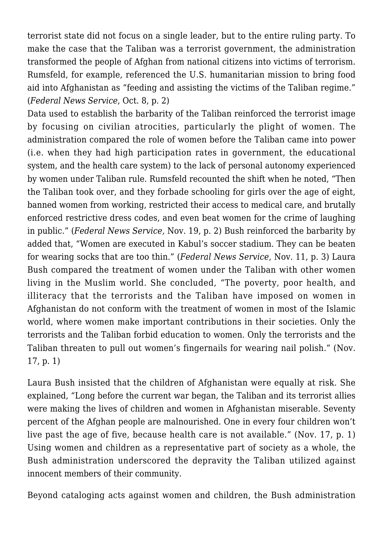terrorist state did not focus on a single leader, but to the entire ruling party. To make the case that the Taliban was a terrorist government, the administration transformed the people of Afghan from national citizens into victims of terrorism. Rumsfeld, for example, referenced the U.S. humanitarian mission to bring food aid into Afghanistan as "feeding and assisting the victims of the Taliban regime." (*Federal News Service*, Oct. 8, p. 2)

Data used to establish the barbarity of the Taliban reinforced the terrorist image by focusing on civilian atrocities, particularly the plight of women. The administration compared the role of women before the Taliban came into power (i.e. when they had high participation rates in government, the educational system, and the health care system) to the lack of personal autonomy experienced by women under Taliban rule. Rumsfeld recounted the shift when he noted, "Then the Taliban took over, and they forbade schooling for girls over the age of eight, banned women from working, restricted their access to medical care, and brutally enforced restrictive dress codes, and even beat women for the crime of laughing in public." (*Federal News Service,* Nov. 19, p. 2) Bush reinforced the barbarity by added that, "Women are executed in Kabul's soccer stadium. They can be beaten for wearing socks that are too thin." (*Federal News Service*, Nov. 11, p. 3) Laura Bush compared the treatment of women under the Taliban with other women living in the Muslim world. She concluded, "The poverty, poor health, and illiteracy that the terrorists and the Taliban have imposed on women in Afghanistan do not conform with the treatment of women in most of the Islamic world, where women make important contributions in their societies. Only the terrorists and the Taliban forbid education to women. Only the terrorists and the Taliban threaten to pull out women's fingernails for wearing nail polish." (Nov. 17, p. 1)

Laura Bush insisted that the children of Afghanistan were equally at risk. She explained, "Long before the current war began, the Taliban and its terrorist allies were making the lives of children and women in Afghanistan miserable. Seventy percent of the Afghan people are malnourished. One in every four children won't live past the age of five, because health care is not available." (Nov. 17, p. 1) Using women and children as a representative part of society as a whole, the Bush administration underscored the depravity the Taliban utilized against innocent members of their community.

Beyond cataloging acts against women and children, the Bush administration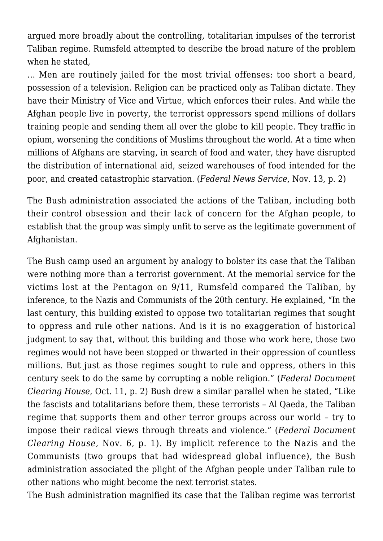argued more broadly about the controlling, totalitarian impulses of the terrorist Taliban regime. Rumsfeld attempted to describe the broad nature of the problem when he stated,

… Men are routinely jailed for the most trivial offenses: too short a beard, possession of a television. Religion can be practiced only as Taliban dictate. They have their Ministry of Vice and Virtue, which enforces their rules. And while the Afghan people live in poverty, the terrorist oppressors spend millions of dollars training people and sending them all over the globe to kill people. They traffic in opium, worsening the conditions of Muslims throughout the world. At a time when millions of Afghans are starving, in search of food and water, they have disrupted the distribution of international aid, seized warehouses of food intended for the poor, and created catastrophic starvation. (*Federal News Service*, Nov. 13, p. 2)

The Bush administration associated the actions of the Taliban, including both their control obsession and their lack of concern for the Afghan people, to establish that the group was simply unfit to serve as the legitimate government of Afghanistan.

The Bush camp used an argument by analogy to bolster its case that the Taliban were nothing more than a terrorist government. At the memorial service for the victims lost at the Pentagon on 9/11, Rumsfeld compared the Taliban, by inference, to the Nazis and Communists of the 20th century. He explained, "In the last century, this building existed to oppose two totalitarian regimes that sought to oppress and rule other nations. And is it is no exaggeration of historical judgment to say that, without this building and those who work here, those two regimes would not have been stopped or thwarted in their oppression of countless millions. But just as those regimes sought to rule and oppress, others in this century seek to do the same by corrupting a noble religion." (*Federal Document Clearing House*, Oct. 11, p. 2) Bush drew a similar parallel when he stated, "Like the fascists and totalitarians before them, these terrorists – Al Qaeda, the Taliban regime that supports them and other terror groups across our world – try to impose their radical views through threats and violence." (*Federal Document Clearing House,* Nov. 6, p. 1). By implicit reference to the Nazis and the Communists (two groups that had widespread global influence), the Bush administration associated the plight of the Afghan people under Taliban rule to other nations who might become the next terrorist states.

The Bush administration magnified its case that the Taliban regime was terrorist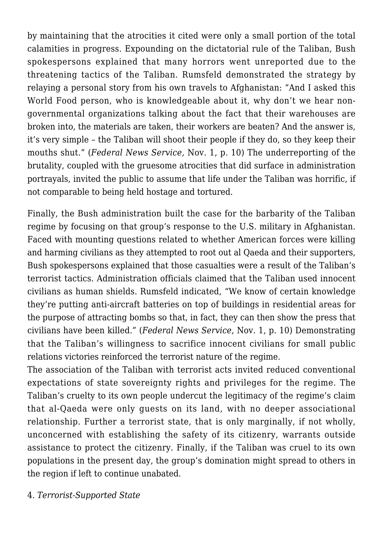by maintaining that the atrocities it cited were only a small portion of the total calamities in progress. Expounding on the dictatorial rule of the Taliban, Bush spokespersons explained that many horrors went unreported due to the threatening tactics of the Taliban. Rumsfeld demonstrated the strategy by relaying a personal story from his own travels to Afghanistan: "And I asked this World Food person, who is knowledgeable about it, why don't we hear nongovernmental organizations talking about the fact that their warehouses are broken into, the materials are taken, their workers are beaten? And the answer is, it's very simple – the Taliban will shoot their people if they do, so they keep their mouths shut." (*Federal News Service,* Nov. 1, p. 10) The underreporting of the brutality, coupled with the gruesome atrocities that did surface in administration portrayals, invited the public to assume that life under the Taliban was horrific, if not comparable to being held hostage and tortured.

Finally, the Bush administration built the case for the barbarity of the Taliban regime by focusing on that group's response to the U.S. military in Afghanistan. Faced with mounting questions related to whether American forces were killing and harming civilians as they attempted to root out al Qaeda and their supporters, Bush spokespersons explained that those casualties were a result of the Taliban's terrorist tactics. Administration officials claimed that the Taliban used innocent civilians as human shields. Rumsfeld indicated, "We know of certain knowledge they're putting anti-aircraft batteries on top of buildings in residential areas for the purpose of attracting bombs so that, in fact, they can then show the press that civilians have been killed." (*Federal News Service*, Nov. 1, p. 10) Demonstrating that the Taliban's willingness to sacrifice innocent civilians for small public relations victories reinforced the terrorist nature of the regime.

The association of the Taliban with terrorist acts invited reduced conventional expectations of state sovereignty rights and privileges for the regime. The Taliban's cruelty to its own people undercut the legitimacy of the regime's claim that al-Qaeda were only guests on its land, with no deeper associational relationship. Further a terrorist state, that is only marginally, if not wholly, unconcerned with establishing the safety of its citizenry, warrants outside assistance to protect the citizenry. Finally, if the Taliban was cruel to its own populations in the present day, the group's domination might spread to others in the region if left to continue unabated.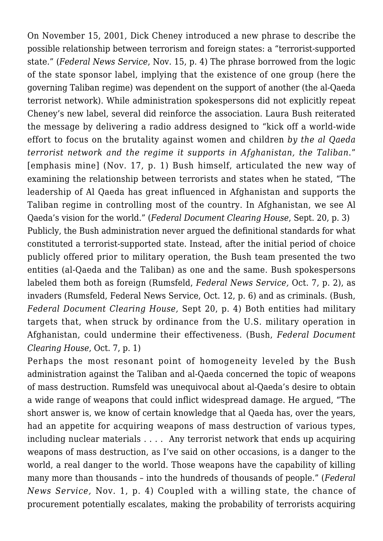On November 15, 2001, Dick Cheney introduced a new phrase to describe the possible relationship between terrorism and foreign states: a "terrorist-supported state." (*Federal News Service*, Nov. 15, p. 4) The phrase borrowed from the logic of the state sponsor label, implying that the existence of one group (here the governing Taliban regime) was dependent on the support of another (the al-Qaeda terrorist network). While administration spokespersons did not explicitly repeat Cheney's new label, several did reinforce the association. Laura Bush reiterated the message by delivering a radio address designed to "kick off a world-wide effort to focus on the brutality against women and children *by the al Qaeda terrorist network and the regime it supports in Afghanistan, the Taliban*." [emphasis mine] (Nov. 17, p. 1) Bush himself, articulated the new way of examining the relationship between terrorists and states when he stated, "The leadership of Al Qaeda has great influenced in Afghanistan and supports the Taliban regime in controlling most of the country. In Afghanistan, we see Al Qaeda's vision for the world." (*Federal Document Clearing House*, Sept. 20, p. 3) Publicly, the Bush administration never argued the definitional standards for what constituted a terrorist-supported state. Instead, after the initial period of choice publicly offered prior to military operation, the Bush team presented the two entities (al-Qaeda and the Taliban) as one and the same. Bush spokespersons labeled them both as foreign (Rumsfeld, *Federal News Service,* Oct. 7, p. 2), as invaders (Rumsfeld, Federal News Service, Oct. 12, p. 6) and as criminals. (Bush, *Federal Document Clearing House,* Sept 20, p. 4) Both entities had military targets that, when struck by ordinance from the U.S. military operation in Afghanistan, could undermine their effectiveness. (Bush, *Federal Document Clearing House*, Oct. 7, p. 1)

Perhaps the most resonant point of homogeneity leveled by the Bush administration against the Taliban and al-Qaeda concerned the topic of weapons of mass destruction. Rumsfeld was unequivocal about al-Qaeda's desire to obtain a wide range of weapons that could inflict widespread damage. He argued, "The short answer is, we know of certain knowledge that al Qaeda has, over the years, had an appetite for acquiring weapons of mass destruction of various types, including nuclear materials . . . . Any terrorist network that ends up acquiring weapons of mass destruction, as I've said on other occasions, is a danger to the world, a real danger to the world. Those weapons have the capability of killing many more than thousands – into the hundreds of thousands of people." (*Federal News Service,* Nov. 1, p. 4) Coupled with a willing state, the chance of procurement potentially escalates, making the probability of terrorists acquiring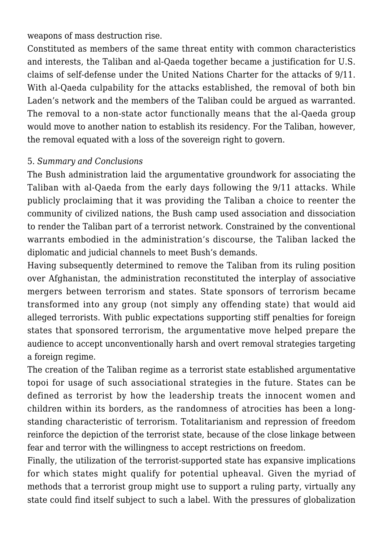weapons of mass destruction rise.

Constituted as members of the same threat entity with common characteristics and interests, the Taliban and al-Qaeda together became a justification for U.S. claims of self-defense under the United Nations Charter for the attacks of 9/11. With al-Qaeda culpability for the attacks established, the removal of both bin Laden's network and the members of the Taliban could be argued as warranted. The removal to a non-state actor functionally means that the al-Qaeda group would move to another nation to establish its residency. For the Taliban, however, the removal equated with a loss of the sovereign right to govern.

#### 5. *Summary and Conclusions*

The Bush administration laid the argumentative groundwork for associating the Taliban with al-Qaeda from the early days following the 9/11 attacks. While publicly proclaiming that it was providing the Taliban a choice to reenter the community of civilized nations, the Bush camp used association and dissociation to render the Taliban part of a terrorist network. Constrained by the conventional warrants embodied in the administration's discourse, the Taliban lacked the diplomatic and judicial channels to meet Bush's demands.

Having subsequently determined to remove the Taliban from its ruling position over Afghanistan, the administration reconstituted the interplay of associative mergers between terrorism and states. State sponsors of terrorism became transformed into any group (not simply any offending state) that would aid alleged terrorists. With public expectations supporting stiff penalties for foreign states that sponsored terrorism, the argumentative move helped prepare the audience to accept unconventionally harsh and overt removal strategies targeting a foreign regime.

The creation of the Taliban regime as a terrorist state established argumentative topoi for usage of such associational strategies in the future. States can be defined as terrorist by how the leadership treats the innocent women and children within its borders, as the randomness of atrocities has been a longstanding characteristic of terrorism. Totalitarianism and repression of freedom reinforce the depiction of the terrorist state, because of the close linkage between fear and terror with the willingness to accept restrictions on freedom.

Finally, the utilization of the terrorist-supported state has expansive implications for which states might qualify for potential upheaval. Given the myriad of methods that a terrorist group might use to support a ruling party, virtually any state could find itself subject to such a label. With the pressures of globalization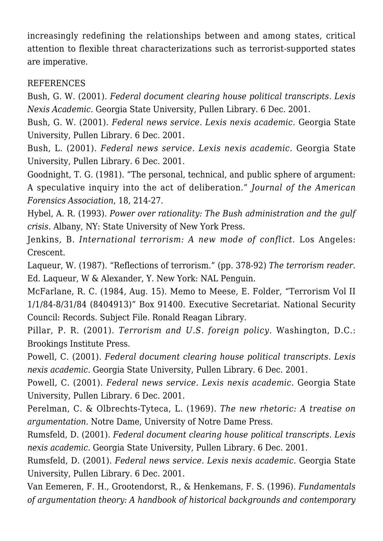increasingly redefining the relationships between and among states, critical attention to flexible threat characterizations such as terrorist-supported states are imperative.

## **REFERENCES**

Bush, G. W. (2001). *Federal document clearing house political transcripts. Lexis Nexis Academic.* Georgia State University, Pullen Library. 6 Dec. 2001.

Bush, G. W. (2001). *Federal news service. Lexis nexis academic.* Georgia State University, Pullen Library. 6 Dec. 2001.

Bush, L. (2001). *Federal news service. Lexis nexis academic.* Georgia State University, Pullen Library. 6 Dec. 2001.

Goodnight, T. G. (1981). "The personal, technical, and public sphere of argument: A speculative inquiry into the act of deliberation." *Journal of the American Forensics Association*, 18, 214-27.

Hybel, A. R. (1993). *Power over rationality: The Bush administration and the gulf crisis.* Albany, NY: State University of New York Press.

Jenkins, B. *International terrorism: A new mode of conflict.* Los Angeles: Crescent.

Laqueur, W. (1987). "Reflections of terrorism." (pp. 378-92) *The terrorism reader.* Ed. Laqueur, W & Alexander, Y. New York: NAL Penguin.

McFarlane, R. C. (1984, Aug. 15). Memo to Meese, E. Folder, "Terrorism Vol II 1/1/84-8/31/84 (8404913)" Box 91400. Executive Secretariat. National Security Council: Records. Subject File. Ronald Reagan Library.

Pillar, P. R. (2001). *Terrorism and U.S. foreign policy.* Washington, D.C.: Brookings Institute Press.

Powell, C. (2001). *Federal document clearing house political transcripts. Lexis nexis academic.* Georgia State University, Pullen Library. 6 Dec. 2001.

Powell, C. (2001). *Federal news service. Lexis nexis academic.* Georgia State University, Pullen Library. 6 Dec. 2001.

Perelman, C. & Olbrechts-Tyteca, L. (1969)*. The new rhetoric: A treatise on argumentation.* Notre Dame, University of Notre Dame Press.

Rumsfeld, D. (2001). *Federal document clearing house political transcripts. Lexis nexis academic*. Georgia State University, Pullen Library. 6 Dec. 2001.

Rumsfeld, D. (2001). *Federal news service. Lexis nexis academic.* Georgia State University, Pullen Library. 6 Dec. 2001.

Van Eemeren, F. H., Grootendorst, R., & Henkemans, F. S. (1996). *Fundamentals of argumentation theory: A handbook of historical backgrounds and contemporary*